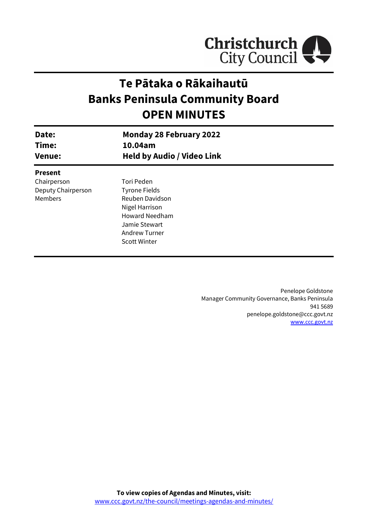

# **Te Pātaka o Rākaihautū Banks Peninsula Community Board OPEN MINUTES**

| Date:<br>Time:     | <b>Monday 28 February 2022</b><br>10.04am |  |
|--------------------|-------------------------------------------|--|
| <b>Venue:</b>      | <b>Held by Audio / Video Link</b>         |  |
| <b>Present</b>     |                                           |  |
| Chairperson        | Tori Peden                                |  |
| Deputy Chairperson | <b>Tyrone Fields</b>                      |  |
| Members            | Reuben Davidson                           |  |
|                    | Nigel Harrison                            |  |
|                    | <b>Howard Needham</b>                     |  |
|                    | Jamie Stewart                             |  |
|                    | <b>Andrew Turner</b>                      |  |
|                    | <b>Scott Winter</b>                       |  |
|                    |                                           |  |

Penelope Goldstone Manager Community Governance, Banks Peninsula 941 5689 penelope.goldstone@ccc.govt.nz [www.ccc.govt.nz](http://www.ccc.govt.nz/)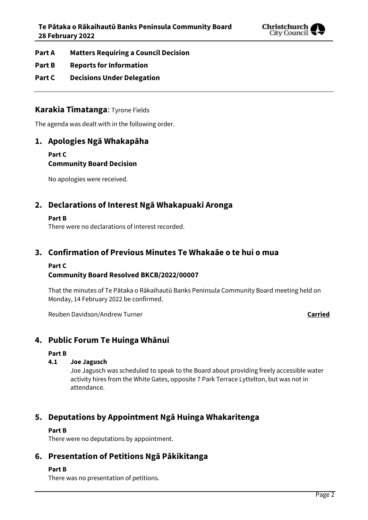

- **Part A Matters Requiring a Council Decision**
- **Part B Reports for Information**
- **Part C Decisions Under Delegation**

### **Karakia Tīmatanga**: Tyrone Fields

The agenda was dealt with in the following order.

### **1. Apologies Ngā Whakapāha**

**Part C Community Board Decision**

No apologies were received.

## **2. Declarations of Interest Ngā Whakapuaki Aronga**

#### **Part B**

There were no declarations of interest recorded.

#### **3. Confirmation of Previous Minutes Te Whakaāe o te hui o mua**

#### **Part C Community Board Resolved BKCB/2022/00007**

That the minutes of Te Pātaka o Rākaihautū Banks Peninsula Community Board meeting held on Monday, 14 February 2022 be confirmed.

Reuben Davidson/Andrew Turner **Carried**

## **4. Public Forum Te Huinga Whānui**

#### **Part B**

#### **4.1 Joe Jagusch**

Joe Jagusch was scheduled to speak to the Board about providing freely accessible water activity hires from the White Gates, opposite 7 Park Terrace Lyttelton, but was not in attendance.

## **5. Deputations by Appointment Ngā Huinga Whakaritenga**

#### **Part B**

There were no deputations by appointment.

### **6. Presentation of Petitions Ngā Pākikitanga**

#### **Part B**

There was no presentation of petitions.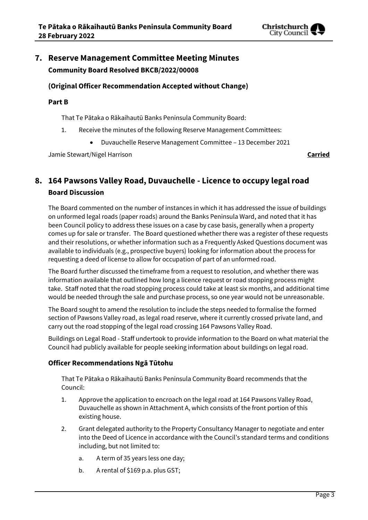

## **7. Reserve Management Committee Meeting Minutes Community Board Resolved BKCB/2022/00008**

#### **(Original Officer Recommendation Accepted without Change)**

#### **Part B**

That Te Pātaka o Rākaihautū Banks Peninsula Community Board:

- 1. Receive the minutes of the following Reserve Management Committees:
	- Duvauchelle Reserve Management Committee 13 December 2021

Jamie Stewart/Nigel Harrison **Carried**

## **8. 164 Pawsons Valley Road, Duvauchelle - Licence to occupy legal road Board Discussion**

The Board commented on the number of instances in which it has addressed the issue of buildings on unformed legal roads (paper roads) around the Banks Peninsula Ward, and noted that it has been Council policy to address these issues on a case by case basis, generally when a property comes up for sale or transfer. The Board questioned whether there was a register of these requests and their resolutions, or whether information such as a Frequently Asked Questions document was available to individuals (e.g., prospective buyers) looking for information about the process for requesting a deed of license to allow for occupation of part of an unformed road.

The Board further discussed the timeframe from a request to resolution, and whether there was information available that outlined how long a licence request or road stopping process might take. Staff noted that the road stopping process could take at least six months, and additional time would be needed through the sale and purchase process, so one year would not be unreasonable.

The Board sought to amend the resolution to include the steps needed to formalise the formed section of Pawsons Valley road, as legal road reserve, where it currently crossed private land, and carry out the road stopping of the legal road crossing 164 Pawsons Valley Road.

Buildings on Legal Road - Staff undertook to provide information to the Board on what material the Council had publicly available for people seeking information about buildings on legal road.

#### **Officer Recommendations Ngā Tūtohu**

That Te Pātaka o Rākaihautū Banks Peninsula Community Board recommends that the Council:

- 1. Approve the application to encroach on the legal road at 164 Pawsons Valley Road, Duvauchelle as shown in Attachment A, which consists of the front portion of this existing house.
- 2. Grant delegated authority to the Property Consultancy Manager to negotiate and enter into the Deed of Licence in accordance with the Council's standard terms and conditions including, but not limited to:
	- a. A term of 35 years less one day;
	- b. A rental of \$169 p.a. plus GST;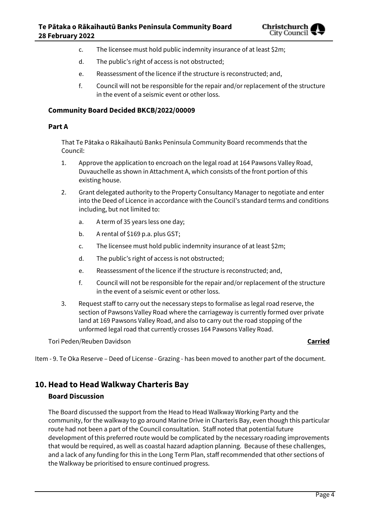

- c. The licensee must hold public indemnity insurance of at least \$2m;
- d. The public's right of access is not obstructed;
- e. Reassessment of the licence if the structure is reconstructed; and,
- f. Council will not be responsible for the repair and/or replacement of the structure in the event of a seismic event or other loss.

#### **Community Board Decided BKCB/2022/00009**

#### **Part A**

That Te Pātaka o Rākaihautū Banks Peninsula Community Board recommends that the Council:

- 1. Approve the application to encroach on the legal road at 164 Pawsons Valley Road, Duvauchelle as shown in Attachment A, which consists of the front portion of this existing house.
- 2. Grant delegated authority to the Property Consultancy Manager to negotiate and enter into the Deed of Licence in accordance with the Council's standard terms and conditions including, but not limited to:
	- a. A term of 35 years less one day;
	- b. A rental of \$169 p.a. plus GST;
	- c. The licensee must hold public indemnity insurance of at least \$2m;
	- d. The public's right of access is not obstructed;
	- e. Reassessment of the licence if the structure is reconstructed; and,
	- f. Council will not be responsible for the repair and/or replacement of the structure in the event of a seismic event or other loss.
- 3. Request staff to carry out the necessary steps to formalise as legal road reserve, the section of Pawsons Valley Road where the carriageway is currently formed over private land at 169 Pawsons Valley Road, and also to carry out the road stopping of the unformed legal road that currently crosses 164 Pawsons Valley Road.

Tori Peden/Reuben Davidson **Carried**

Item - 9. Te Oka Reserve – Deed of License - Grazing - has been moved to another part of the document.

## **10.Head to Head Walkway Charteris Bay**

#### **Board Discussion**

The Board discussed the support from the Head to Head Walkway Working Party and the community, for the walkway to go around Marine Drive in Charteris Bay, even though this particular route had not been a part of the Council consultation. Staff noted that potential future development of this preferred route would be complicated by the necessary roading improvements that would be required, as well as coastal hazard adaption planning. Because of these challenges, and a lack of any funding for this in the Long Term Plan, staff recommended that other sections of the Walkway be prioritised to ensure continued progress.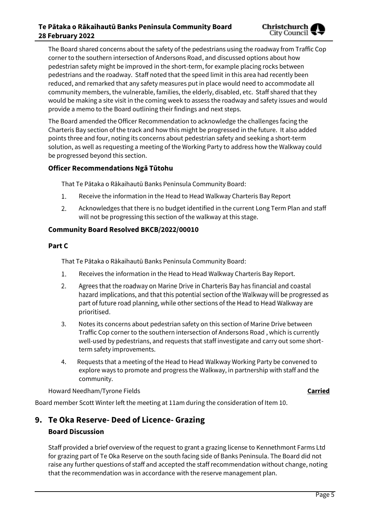The Board shared concerns about the safety of the pedestrians using the roadway from Traffic Cop corner to the southern intersection of Andersons Road, and discussed options about how pedestrian safety might be improved in the short-term, for example placing rocks between pedestrians and the roadway. Staff noted that the speed limit in this area had recently been reduced, and remarked that any safety measures put in place would need to accommodate all community members, the vulnerable, families, the elderly, disabled, etc. Staff shared that they would be making a site visit in the coming week to assess the roadway and safety issues and would provide a memo to the Board outlining their findings and next steps.

The Board amended the Officer Recommendation to acknowledge the challenges facing the Charteris Bay section of the track and how this might be progressed in the future. It also added points three and four, noting its concerns about pedestrian safety and seeking a short-term solution, as well as requesting a meeting of the Working Party to address how the Walkway could be progressed beyond this section.

#### **Officer Recommendations Ngā Tūtohu**

That Te Pātaka o Rākaihautū Banks Peninsula Community Board:

- 1. Receive the information in the Head to Head Walkway Charteris Bay Report
- $2.$ Acknowledges that there is no budget identified in the current Long Term Plan and staff will not be progressing this section of the walkway at this stage.

#### **Community Board Resolved BKCB/2022/00010**

#### **Part C**

That Te Pātaka o Rākaihautū Banks Peninsula Community Board:

- 1. Receives the information in the Head to Head Walkway Charteris Bay Report.
- $2.$ Agrees that the roadway on Marine Drive in Charteris Bay has financial and coastal hazard implications, and that this potential section of the Walkway will be progressed as part of future road planning, while other sections of the Head to Head Walkway are prioritised.
- 3. Notes its concerns about pedestrian safety on this section of Marine Drive between Traffic Cop corner to the southern intersection of Andersons Road , which is currently well-used by pedestrians, and requests that staff investigate and carry out some shortterm safety improvements.
- 4. Requests that a meeting of the Head to Head Walkway Working Party be convened to explore ways to promote and progress the Walkway, in partnership with staff and the community.

Howard Needham/Tyrone Fields **Carried**

Board member Scott Winter left the meeting at 11am during the consideration of Item 10.

## **9. Te Oka Reserve- Deed of Licence- Grazing**

#### **Board Discussion**

Staff provided a brief overview of the request to grant a grazing license to Kennethmont Farms Ltd for grazing part of Te Oka Reserve on the south facing side of Banks Peninsula. The Board did not raise any further questions of staff and accepted the staff recommendation without change, noting that the recommendation was in accordance with the reserve management plan.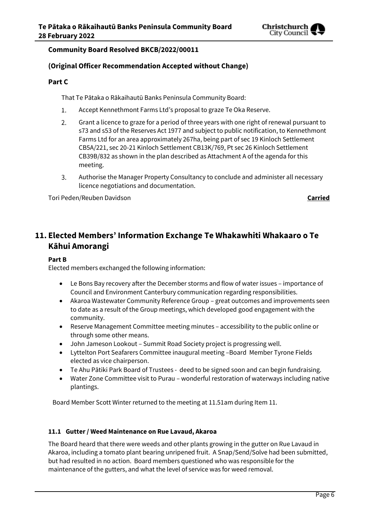

#### **Community Board Resolved BKCB/2022/00011**

#### **(Original Officer Recommendation Accepted without Change)**

#### **Part C**

That Te Pātaka o Rākaihautū Banks Peninsula Community Board:

- Accept Kennethmont Farms Ltd's proposal to graze Te Oka Reserve. 1.
- $2.$ Grant a licence to graze for a period of three years with one right of renewal pursuant to s73 and s53 of the Reserves Act 1977 and subject to public notification, to Kennethmont Farms Ltd for an area approximately 267ha, being part of sec 19 Kinloch Settlement CB5A/221, sec 20-21 Kinloch Settlement CB13K/769, Pt sec 26 Kinloch Settlement CB39B/832 as shown in the plan described as Attachment A of the agenda for this meeting.
- Authorise the Manager Property Consultancy to conclude and administer all necessary 3. licence negotiations and documentation.

Tori Peden/Reuben Davidson **Carried**

## **11. Elected Members' Information Exchange Te Whakawhiti Whakaaro o Te Kāhui Amorangi**

#### **Part B**

Elected members exchanged the following information:

- Le Bons Bay recovery after the December storms and flow of water issues importance of Council and Environment Canterbury communication regarding responsibilities.
- Akaroa Wastewater Community Reference Group great outcomes and improvements seen to date as a result of the Group meetings, which developed good engagement with the community.
- Reserve Management Committee meeting minutes accessibility to the public online or through some other means.
- John Jameson Lookout Summit Road Society project is progressing well.
- Lyttelton Port Seafarers Committee inaugural meeting –Board Member Tyrone Fields elected as vice chairperson.
- Te Ahu Pātiki Park Board of Trustees deed to be signed soon and can begin fundraising.
- Water Zone Committee visit to Purau wonderful restoration of waterways including native plantings.

Board Member Scott Winter returned to the meeting at 11.51am during Item 11.

#### **11.1 Gutter / Weed Maintenance on Rue Lavaud, Akaroa**

The Board heard that there were weeds and other plants growing in the gutter on Rue Lavaud in Akaroa, including a tomato plant bearing unripened fruit. A Snap/Send/Solve had been submitted, but had resulted in no action. Board members questioned who was responsible for the maintenance of the gutters, and what the level of service was for weed removal.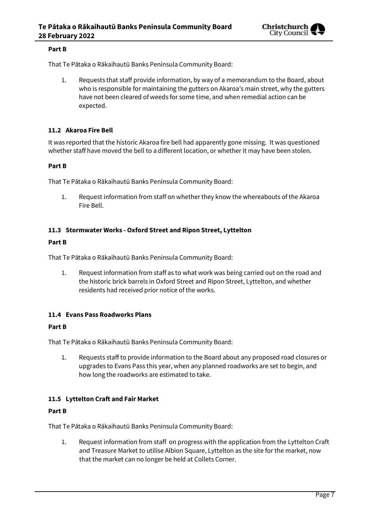

#### **Part B**

That Te Pātaka o Rākaihautū Banks Peninsula Community Board:

1. Requests that staff provide information, by way of a memorandum to the Board, about who is responsible for maintaining the gutters on Akaroa's main street, why the gutters have not been cleared of weeds for some time, and when remedial action can be expected.

#### **11.2 Akaroa Fire Bell**

It was reported that the historic Akaroa fire bell had apparently gone missing. It was questioned whether staff have moved the bell to a different location, or whether it may have been stolen.

#### **Part B**

That Te Pātaka o Rākaihautū Banks Peninsula Community Board:

1. Request information from staff on whether they know the whereabouts of the Akaroa Fire Bell.

#### **11.3 Stormwater Works - Oxford Street and Ripon Street, Lyttelton**

#### **Part B**

That Te Pātaka o Rākaihautū Banks Peninsula Community Board:

1. Request information from staff as to what work was being carried out on the road and the historic brick barrels in Oxford Street and Ripon Street, Lyttelton, and whether residents had received prior notice of the works.

#### **11.4 Evans Pass Roadworks Plans**

#### **Part B**

That Te Pātaka o Rākaihautū Banks Peninsula Community Board:

1. Requests staff to provide information to the Board about any proposed road closures or upgrades to Evans Pass this year, when any planned roadworks are set to begin, and how long the roadworks are estimated to take.

#### **11.5 Lyttelton Craft and Fair Market**

#### **Part B**

That Te Pātaka o Rākaihautū Banks Peninsula Community Board:

1. Request information from staff on progress with the application from the Lyttelton Craft and Treasure Market to utilise Albion Square, Lyttelton as the site for the market, now that the market can no longer be held at Collets Corner.